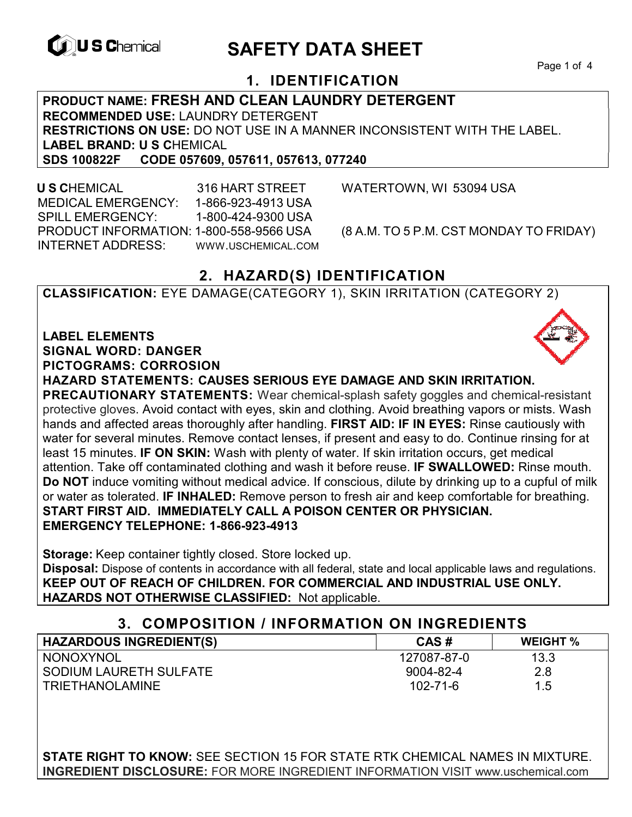

# **EXAGREM** SAFETY DATA SHEET

Page 1 of 4

# **1. IDENTIFICATION**

**PRODUCT NAME: FRESH AND CLEAN LAUNDRY DETERGENT RECOMMENDED USE:** LAUNDRY DETERGENT **RESTRICTIONS ON USE:** DO NOT USE IN A MANNER INCONSISTENT WITH THE LABEL. **LABEL BRAND: U S C**HEMICAL **SDS 100822F CODE 057609, 057611, 057613, 077240** 

 **U S C**HEMICAL 316 HART STREET WATERTOWN, WI 53094 USA MEDICAL EMERGENCY: 1-866-923-4913 USA SPILL EMERGENCY: 1-800-424-9300 USA PRODUCT INFORMATION: 1-800-558-9566 USA (8 A.M. TO 5 P.M. CST MONDAY TO FRIDAY) INTERNET ADDRESS: WWW.USCHEMICAL.COM

# **2. HAZARD(S) IDENTIFICATION**

**CLASSIFICATION:** EYE DAMAGE(CATEGORY 1), SKIN IRRITATION (CATEGORY 2)

**LABEL ELEMENTS SIGNAL WORD: DANGER PICTOGRAMS: CORROSION**

**HAZARD STATEMENTS: CAUSES SERIOUS EYE DAMAGE AND SKIN IRRITATION.** 

**PRECAUTIONARY STATEMENTS:** Wear chemical-splash safety goggles and chemical-resistant protective gloves. Avoid contact with eyes, skin and clothing. Avoid breathing vapors or mists. Wash hands and affected areas thoroughly after handling. **FIRST AID: IF IN EYES:** Rinse cautiously with water for several minutes. Remove contact lenses, if present and easy to do. Continue rinsing for at least 15 minutes. **IF ON SKIN:** Wash with plenty of water. If skin irritation occurs, get medical attention. Take off contaminated clothing and wash it before reuse. **IF SWALLOWED:** Rinse mouth. **Do NOT** induce vomiting without medical advice. If conscious, dilute by drinking up to a cupful of milk or water as tolerated. **IF INHALED:** Remove person to fresh air and keep comfortable for breathing. **START FIRST AID. IMMEDIATELY CALL A POISON CENTER OR PHYSICIAN. EMERGENCY TELEPHONE: 1-866-923-4913**

**Storage:** Keep container tightly closed. Store locked up.

**Disposal:** Dispose of contents in accordance with all federal, state and local applicable laws and regulations. **KEEP OUT OF REACH OF CHILDREN. FOR COMMERCIAL AND INDUSTRIAL USE ONLY. HAZARDS NOT OTHERWISE CLASSIFIED:** Not applicable.

#### **3. COMPOSITION / INFORMATION ON INGREDIENTS**

| <b>HAZARDOUS INGREDIENT(S)</b> | CAS#        | <b>WEIGHT %</b> |
|--------------------------------|-------------|-----------------|
| NONOXYNOL                      | 127087-87-0 | 13.3            |
| I SODIUM LAURETH SULFATE       | 9004-82-4   | 2.8             |
| <b>TRIETHANOLAMINE</b>         | 102-71-6    | 1.5             |

**STATE RIGHT TO KNOW:** SEE SECTION 15 FOR STATE RTK CHEMICAL NAMES IN MIXTURE. **INGREDIENT DISCLOSURE:** FOR MORE INGREDIENT INFORMATION VISIT www.uschemical.com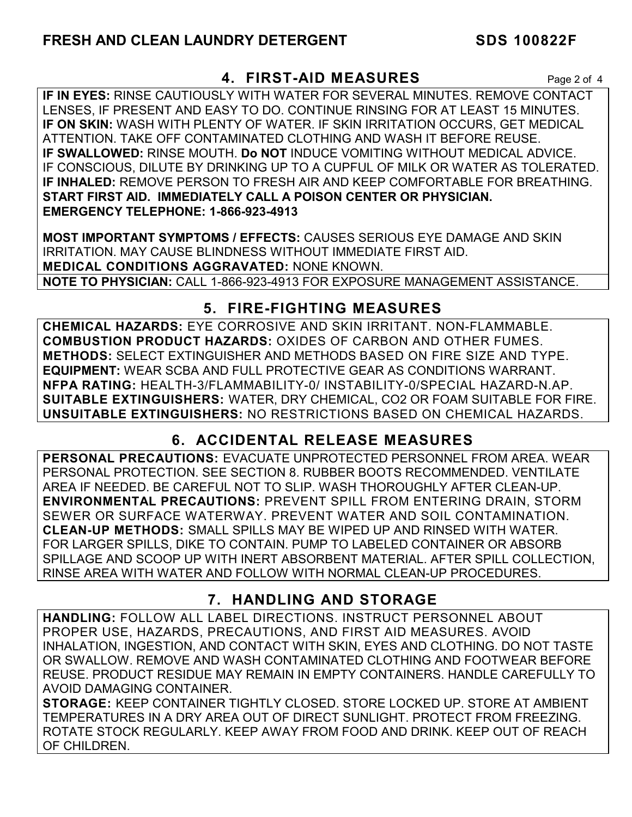#### **4. FIRST-AID MEASURES** Page 2 of 4

**IF IN EYES:** RINSE CAUTIOUSLY WITH WATER FOR SEVERAL MINUTES. REMOVE CONTACT LENSES, IF PRESENT AND EASY TO DO. CONTINUE RINSING FOR AT LEAST 15 MINUTES. **IF ON SKIN:** WASH WITH PLENTY OF WATER. IF SKIN IRRITATION OCCURS, GET MEDICAL ATTENTION. TAKE OFF CONTAMINATED CLOTHING AND WASH IT BEFORE REUSE. **IF SWALLOWED:** RINSE MOUTH. **Do NOT** INDUCE VOMITING WITHOUT MEDICAL ADVICE. IF CONSCIOUS, DILUTE BY DRINKING UP TO A CUPFUL OF MILK OR WATER AS TOLERATED. **IF INHALED:** REMOVE PERSON TO FRESH AIR AND KEEP COMFORTABLE FOR BREATHING. **START FIRST AID. IMMEDIATELY CALL A POISON CENTER OR PHYSICIAN. EMERGENCY TELEPHONE: 1-866-923-4913**

**MOST IMPORTANT SYMPTOMS / EFFECTS:** CAUSES SERIOUS EYE DAMAGE AND SKIN IRRITATION. MAY CAUSE BLINDNESS WITHOUT IMMEDIATE FIRST AID. **MEDICAL CONDITIONS AGGRAVATED:** NONE KNOWN. **NOTE TO PHYSICIAN:** CALL 1-866-923-4913 FOR EXPOSURE MANAGEMENT ASSISTANCE.

# **5. FIRE-FIGHTING MEASURES**

**CHEMICAL HAZARDS:** EYE CORROSIVE AND SKIN IRRITANT. NON-FLAMMABLE. **COMBUSTION PRODUCT HAZARDS:** OXIDES OF CARBON AND OTHER FUMES. **METHODS:** SELECT EXTINGUISHER AND METHODS BASED ON FIRE SIZE AND TYPE. **EQUIPMENT:** WEAR SCBA AND FULL PROTECTIVE GEAR AS CONDITIONS WARRANT. **NFPA RATING:** HEALTH-3/FLAMMABILITY-0/ INSTABILITY-0/SPECIAL HAZARD-N.AP. **SUITABLE EXTINGUISHERS:** WATER, DRY CHEMICAL, CO2 OR FOAM SUITABLE FOR FIRE. **UNSUITABLE EXTINGUISHERS:** NO RESTRICTIONS BASED ON CHEMICAL HAZARDS.

# **6. ACCIDENTAL RELEASE MEASURES**

**PERSONAL PRECAUTIONS:** EVACUATE UNPROTECTED PERSONNEL FROM AREA. WEAR PERSONAL PROTECTION. SEE SECTION 8. RUBBER BOOTS RECOMMENDED. VENTILATE AREA IF NEEDED. BE CAREFUL NOT TO SLIP. WASH THOROUGHLY AFTER CLEAN-UP. **ENVIRONMENTAL PRECAUTIONS:** PREVENT SPILL FROM ENTERING DRAIN, STORM SEWER OR SURFACE WATERWAY. PREVENT WATER AND SOIL CONTAMINATION. **CLEAN-UP METHODS:** SMALL SPILLS MAY BE WIPED UP AND RINSED WITH WATER. FOR LARGER SPILLS, DIKE TO CONTAIN. PUMP TO LABELED CONTAINER OR ABSORB SPILLAGE AND SCOOP UP WITH INERT ABSORBENT MATERIAL. AFTER SPILL COLLECTION, RINSE AREA WITH WATER AND FOLLOW WITH NORMAL CLEAN-UP PROCEDURES.

# **7. HANDLING AND STORAGE**

**HANDLING:** FOLLOW ALL LABEL DIRECTIONS. INSTRUCT PERSONNEL ABOUT PROPER USE, HAZARDS, PRECAUTIONS, AND FIRST AID MEASURES. AVOID INHALATION, INGESTION, AND CONTACT WITH SKIN, EYES AND CLOTHING. DO NOT TASTE OR SWALLOW. REMOVE AND WASH CONTAMINATED CLOTHING AND FOOTWEAR BEFORE REUSE. PRODUCT RESIDUE MAY REMAIN IN EMPTY CONTAINERS. HANDLE CAREFULLY TO AVOID DAMAGING CONTAINER.

**STORAGE:** KEEP CONTAINER TIGHTLY CLOSED. STORE LOCKED UP. STORE AT AMBIENT TEMPERATURES IN A DRY AREA OUT OF DIRECT SUNLIGHT. PROTECT FROM FREEZING. ROTATE STOCK REGULARLY. KEEP AWAY FROM FOOD AND DRINK. KEEP OUT OF REACH OF CHILDREN.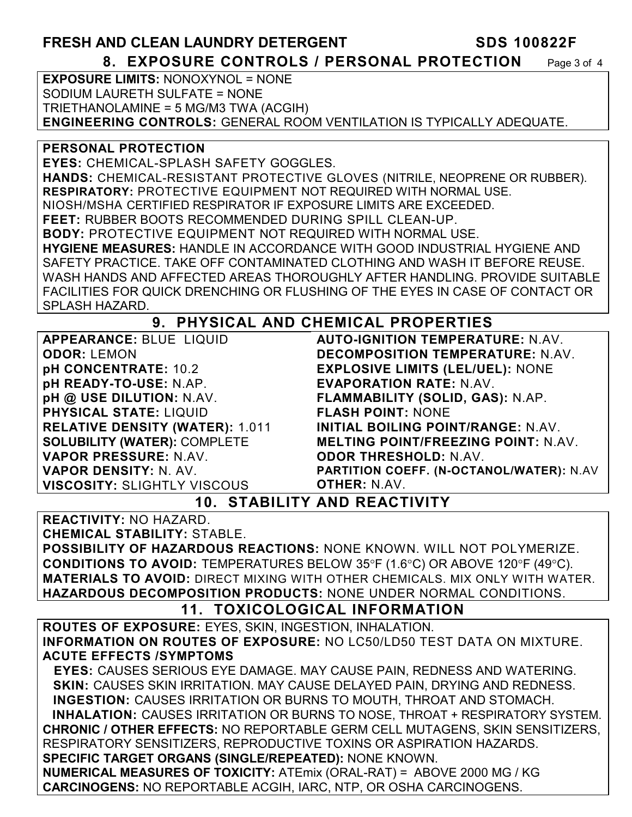# **FRESH AND CLEAN LAUNDRY DETERGENT SDS 100822F**

**8. EXPOSURE CONTROLS / PERSONAL PROTECTION** Page 3 of 4

**EXPOSURE LIMITS:** NONOXYNOL = NONE SODIUM LAURETH SULFATE = NONE TRIETHANOLAMINE = 5 MG/M3 TWA (ACGIH) **ENGINEERING CONTROLS:** GENERAL ROOM VENTILATION IS TYPICALLY ADEQUATE.

**PERSONAL PROTECTION** 

**EYES:** CHEMICAL-SPLASH SAFETY GOGGLES. **HANDS:** CHEMICAL-RESISTANT PROTECTIVE GLOVES (NITRILE, NEOPRENE OR RUBBER). **RESPIRATORY:** PROTECTIVE EQUIPMENT NOT REQUIRED WITH NORMAL USE. NIOSH/MSHA CERTIFIED RESPIRATOR IF EXPOSURE LIMITS ARE EXCEEDED. **FEET:** RUBBER BOOTS RECOMMENDED DURING SPILL CLEAN-UP. **BODY:** PROTECTIVE EQUIPMENT NOT REQUIRED WITH NORMAL USE. **HYGIENE MEASURES:** HANDLE IN ACCORDANCE WITH GOOD INDUSTRIAL HYGIENE AND SAFETY PRACTICE. TAKE OFF CONTAMINATED CLOTHING AND WASH IT BEFORE REUSE. WASH HANDS AND AFFECTED AREAS THOROUGHLY AFTER HANDLING. PROVIDE SUITABLE FACILITIES FOR QUICK DRENCHING OR FLUSHING OF THE EYES IN CASE OF CONTACT OR SPLASH HAZARD.

# **9. PHYSICAL AND CHEMICAL PROPERTIES**

**APPEARANCE:** BLUE LIQUID **ODOR:** LEMON **pH CONCENTRATE:** 10.2 **pH READY-TO-USE:** N.AP. **pH @ USE DILUTION:** N.AV. **PHYSICAL STATE:** LIQUID **RELATIVE DENSITY (WATER):** 1.011 **SOLUBILITY (WATER):** COMPLETE **VAPOR PRESSURE:** N.AV. **VAPOR DENSITY:** N. AV. **VISCOSITY:** SLIGHTLY VISCOUS

**AUTO-IGNITION TEMPERATURE:** N.AV. **DECOMPOSITION TEMPERATURE:** N.AV. **EXPLOSIVE LIMITS (LEL/UEL):** NONE **EVAPORATION RATE:** N.AV. **FLAMMABILITY (SOLID, GAS):** N.AP. **FLASH POINT:** NONE **INITIAL BOILING POINT/RANGE:** N.AV. **MELTING POINT/FREEZING POINT:** N.AV. **ODOR THRESHOLD:** N.AV. **PARTITION COEFF. (N-OCTANOL/WATER):** N.AV

**OTHER:** N.AV.

# **10. STABILITY AND REACTIVITY**

**REACTIVITY:** NO HAZARD.

**CHEMICAL STABILITY:** STABLE.

**POSSIBILITY OF HAZARDOUS REACTIONS:** NONE KNOWN. WILL NOT POLYMERIZE. **CONDITIONS TO AVOID:** TEMPERATURES BELOW 35°F (1.6°C) OR ABOVE 120°F (49°C). **MATERIALS TO AVOID:** DIRECT MIXING WITH OTHER CHEMICALS. MIX ONLY WITH WATER. **HAZARDOUS DECOMPOSITION PRODUCTS:** NONE UNDER NORMAL CONDITIONS.

#### **11. TOXICOLOGICAL INFORMATION**

**ROUTES OF EXPOSURE:** EYES, SKIN, INGESTION, INHALATION. **INFORMATION ON ROUTES OF EXPOSURE:** NO LC50/LD50 TEST DATA ON MIXTURE. **ACUTE EFFECTS /SYMPTOMS**

 **EYES:** CAUSES SERIOUS EYE DAMAGE. MAY CAUSE PAIN, REDNESS AND WATERING. **SKIN:** CAUSES SKIN IRRITATION. MAY CAUSE DELAYED PAIN, DRYING AND REDNESS. **INGESTION:** CAUSES IRRITATION OR BURNS TO MOUTH, THROAT AND STOMACH. **INHALATION:** CAUSES IRRITATION OR BURNS TO NOSE, THROAT + RESPIRATORY SYSTEM. **CHRONIC / OTHER EFFECTS:** NO REPORTABLE GERM CELL MUTAGENS, SKIN SENSITIZERS, RESPIRATORY SENSITIZERS, REPRODUCTIVE TOXINS OR ASPIRATION HAZARDS. **SPECIFIC TARGET ORGANS (SINGLE/REPEATED):** NONE KNOWN. **NUMERICAL MEASURES OF TOXICITY:** ATEmix (ORAL-RAT) = ABOVE 2000 MG / KG **CARCINOGENS:** NO REPORTABLE ACGIH, IARC, NTP, OR OSHA CARCINOGENS.